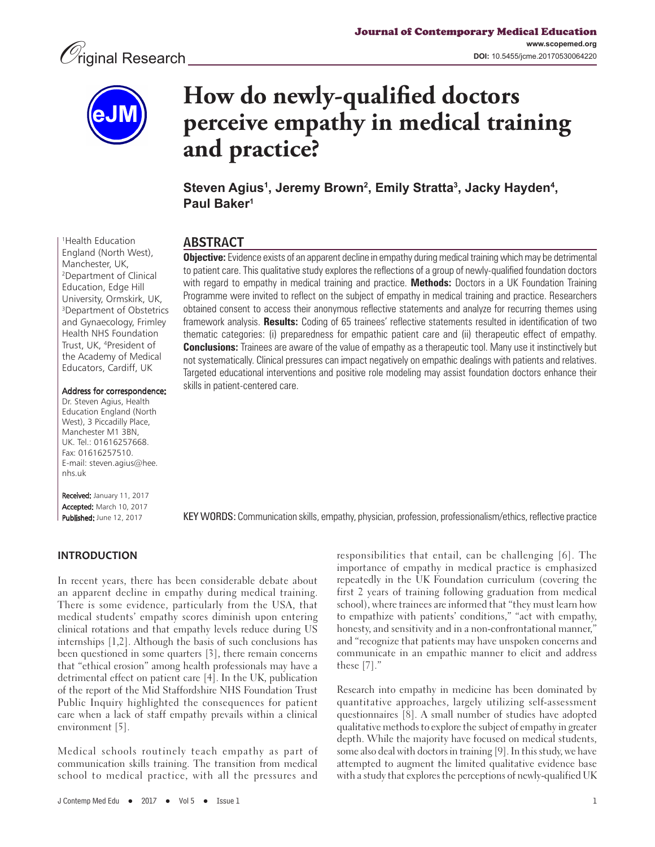

1 Health Education England (North West), Manchester, UK, 2 Department of Clinical Education, Edge Hill University, Ormskirk, UK, 3 Department of Obstetrics and Gynaecology, Frimley Health NHS Foundation Trust, UK, 4 President of the Academy of Medical Educators, Cardiff, UK

# **How do newly-qualified doctors perceive empathy in medical training and practice?**

**Steven Agius1 , Jeremy Brown2 , Emily Stratta3 , Jacky Hayden4 , Paul Baker1**

# ABSTRACT

**Objective:** Evidence exists of an apparent decline in empathy during medical training which may be detrimental to patient care. This qualitative study explores the reflections of a group of newly-qualified foundation doctors with regard to empathy in medical training and practice. **Methods:** Doctors in a UK Foundation Training Programme were invited to reflect on the subject of empathy in medical training and practice. Researchers obtained consent to access their anonymous reflective statements and analyze for recurring themes using framework analysis. **Results:** Coding of 65 trainees' reflective statements resulted in identification of two thematic categories: (i) preparedness for empathic patient care and (ii) therapeutic effect of empathy. **Conclusions:** Trainees are aware of the value of empathy as a therapeutic tool. Many use it instinctively but not systematically. Clinical pressures can impact negatively on empathic dealings with patients and relatives. Targeted educational interventions and positive role modeling may assist foundation doctors enhance their skills in patient-centered care.

Address for correspondence:

Dr. Steven Agius, Health Education England (North West), 3 Piccadilly Place, Manchester M1 3BN, UK. Tel.: 01616257668. Fax: 01616257510. E-mail: steven.agius@hee. nhs.uk

Received: January 11, 2017 Accepted: March 10, 2017 Published: June 12, 2017

KEY WORDS: Communication skills, empathy, physician, profession, professionalism/ethics, reflective practice

## **INTRODUCTION**

In recent years, there has been considerable debate about an apparent decline in empathy during medical training. There is some evidence, particularly from the USA, that medical students' empathy scores diminish upon entering clinical rotations and that empathy levels reduce during US internships [1,2]. Although the basis of such conclusions has been questioned in some quarters [3], there remain concerns that "ethical erosion" among health professionals may have a detrimental effect on patient care [4]. In the UK, publication of the report of the Mid Staffordshire NHS Foundation Trust Public Inquiry highlighted the consequences for patient care when a lack of staff empathy prevails within a clinical environment [5].

Medical schools routinely teach empathy as part of communication skills training. The transition from medical school to medical practice, with all the pressures and

responsibilities that entail, can be challenging [6]. The importance of empathy in medical practice is emphasized repeatedly in the UK Foundation curriculum (covering the first 2 years of training following graduation from medical school), where trainees are informed that "they must learn how to empathize with patients' conditions," "act with empathy, honesty, and sensitivity and in a non-confrontational manner," and "recognize that patients may have unspoken concerns and communicate in an empathic manner to elicit and address these [7]."

Research into empathy in medicine has been dominated by quantitative approaches, largely utilizing self-assessment questionnaires [8]. A small number of studies have adopted qualitative methods to explore the subject of empathy in greater depth. While the majority have focused on medical students, some also deal with doctors in training [9]. In this study, we have attempted to augment the limited qualitative evidence base with a study that explores the perceptions of newly-qualified UK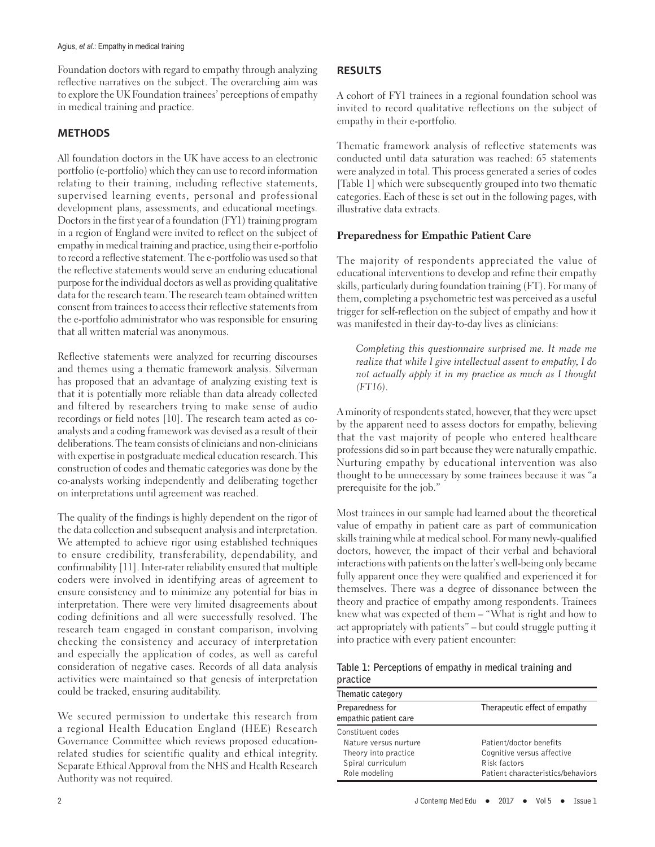Foundation doctors with regard to empathy through analyzing reflective narratives on the subject. The overarching aim was to explore the UK Foundation trainees' perceptions of empathy in medical training and practice.

# **METHODS**

All foundation doctors in the UK have access to an electronic portfolio (e-portfolio) which they can use to record information relating to their training, including reflective statements, supervised learning events, personal and professional development plans, assessments, and educational meetings. Doctors in the first year of a foundation (FY1) training program in a region of England were invited to reflect on the subject of empathy in medical training and practice, using their e-portfolio to record a reflective statement. The e-portfolio was used so that the reflective statements would serve an enduring educational purpose for the individual doctors as well as providing qualitative data for the research team. The research team obtained written consent from trainees to access their reflective statements from the e-portfolio administrator who was responsible for ensuring that all written material was anonymous.

Reflective statements were analyzed for recurring discourses and themes using a thematic framework analysis. Silverman has proposed that an advantage of analyzing existing text is that it is potentially more reliable than data already collected and filtered by researchers trying to make sense of audio recordings or field notes [10]. The research team acted as coanalysts and a coding framework was devised as a result of their deliberations. The team consists of clinicians and non-clinicians with expertise in postgraduate medical education research. This construction of codes and thematic categories was done by the co-analysts working independently and deliberating together on interpretations until agreement was reached.

The quality of the findings is highly dependent on the rigor of the data collection and subsequent analysis and interpretation. We attempted to achieve rigor using established techniques to ensure credibility, transferability, dependability, and confirmability [11]. Inter-rater reliability ensured that multiple coders were involved in identifying areas of agreement to ensure consistency and to minimize any potential for bias in interpretation. There were very limited disagreements about coding definitions and all were successfully resolved. The research team engaged in constant comparison, involving checking the consistency and accuracy of interpretation and especially the application of codes, as well as careful consideration of negative cases. Records of all data analysis activities were maintained so that genesis of interpretation could be tracked, ensuring auditability.

We secured permission to undertake this research from a regional Health Education England (HEE) Research Governance Committee which reviews proposed educationrelated studies for scientific quality and ethical integrity. Separate Ethical Approval from the NHS and Health Research Authority was not required.

A cohort of FY1 trainees in a regional foundation school was invited to record qualitative reflections on the subject of empathy in their e-portfolio.

Thematic framework analysis of reflective statements was conducted until data saturation was reached: 65 statements were analyzed in total. This process generated a series of codes [Table 1] which were subsequently grouped into two thematic categories. Each of these is set out in the following pages, with illustrative data extracts.

## **Preparedness for Empathic Patient Care**

The majority of respondents appreciated the value of educational interventions to develop and refine their empathy skills, particularly during foundation training (FT). For many of them, completing a psychometric test was perceived as a useful trigger for self-reflection on the subject of empathy and how it was manifested in their day-to-day lives as clinicians:

Completing this questionnaire surprised me. It made me realize that while I give intellectual assent to empathy, I do not actually apply it in my practice as much as I thought  $(FT16)$ .

A minority of respondents stated, however, that they were upset by the apparent need to assess doctors for empathy, believing that the vast majority of people who entered healthcare professions did so in part because they were naturally empathic. Nurturing empathy by educational intervention was also thought to be unnecessary by some trainees because it was "a prerequisite for the job."

Most trainees in our sample had learned about the theoretical value of empathy in patient care as part of communication skills training while at medical school. For many newly-qualified doctors, however, the impact of their verbal and behavioral interactions with patients on the latter's well-being only became fully apparent once they were qualified and experienced it for themselves. There was a degree of dissonance between the theory and practice of empathy among respondents. Trainees knew what was expected of them – "What is right and how to act appropriately with patients" – but could struggle putting it into practice with every patient encounter:

**Table 1: Perceptions of empathy in medical training and practice**

| Thematic category                         |                                   |
|-------------------------------------------|-----------------------------------|
| Preparedness for<br>empathic patient care | Therapeutic effect of empathy     |
| Constituent codes                         |                                   |
| Nature versus nurture                     | Patient/doctor benefits           |
| Theory into practice                      | Cognitive versus affective        |
| Spiral curriculum                         | Risk factors                      |
| Role modeling                             | Patient characteristics/behaviors |
|                                           |                                   |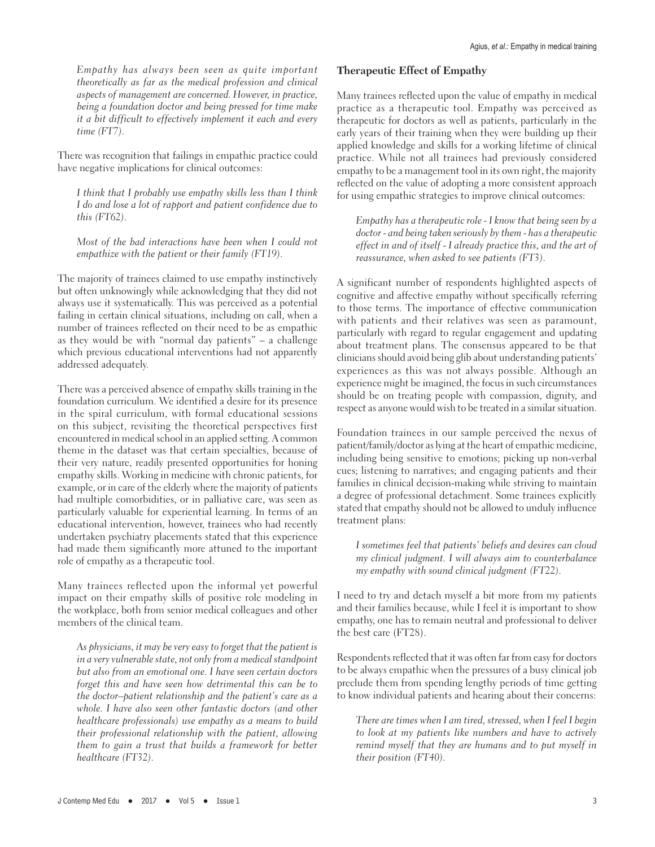Empathy has always been seen as quite important theoretically as far as the medical profession and clinical aspects of management are concerned. However, in practice, being a foundation doctor and being pressed for time make it a bit difficult to effectively implement it each and every time (FT7).

There was recognition that failings in empathic practice could have negative implications for clinical outcomes:

I think that I probably use empathy skills less than I think I do and lose a lot of rapport and patient confidence due to this (FT62).

Most of the bad interactions have been when I could not empathize with the patient or their family (FT19).

The majority of trainees claimed to use empathy instinctively but often unknowingly while acknowledging that they did not always use it systematically. This was perceived as a potential failing in certain clinical situations, including on call, when a number of trainees reflected on their need to be as empathic as they would be with "normal day patients" – a challenge which previous educational interventions had not apparently addressed adequately.

There was a perceived absence of empathy skills training in the foundation curriculum. We identified a desire for its presence in the spiral curriculum, with formal educational sessions on this subject, revisiting the theoretical perspectives first encountered in medical school in an applied setting. A common theme in the dataset was that certain specialties, because of their very nature, readily presented opportunities for honing empathy skills. Working in medicine with chronic patients, for example, or in care of the elderly where the majority of patients had multiple comorbidities, or in palliative care, was seen as particularly valuable for experiential learning. In terms of an educational intervention, however, trainees who had recently undertaken psychiatry placements stated that this experience had made them significantly more attuned to the important role of empathy as a therapeutic tool.

Many trainees reflected upon the informal yet powerful impact on their empathy skills of positive role modeling in the workplace, both from senior medical colleagues and other members of the clinical team.

As physicians, it may be very easy to forget that the patient is in a very vulnerable state, not only from a medical standpoint but also from an emotional one. I have seen certain doctors forget this and have seen how detrimental this can be to the doctor–patient relationship and the patient's care as a whole. I have also seen other fantastic doctors (and other healthcare professionals) use empathy as a means to build their professional relationship with the patient, allowing them to gain a trust that builds a framework for better healthcare (FT32).

#### **Therapeutic Effect of Empathy**

Many trainees reflected upon the value of empathy in medical practice as a therapeutic tool. Empathy was perceived as therapeutic for doctors as well as patients, particularly in the early years of their training when they were building up their applied knowledge and skills for a working lifetime of clinical practice. While not all trainees had previously considered empathy to be a management tool in its own right, the majority reflected on the value of adopting a more consistent approach for using empathic strategies to improve clinical outcomes:

Empathy has a therapeutic role - I know that being seen by a doctor - and being taken seriously by them - has a therapeutic effect in and of itself - I already practice this, and the art of reassurance, when asked to see patients (FT3).

A significant number of respondents highlighted aspects of cognitive and affective empathy without specifically referring to those terms. The importance of effective communication with patients and their relatives was seen as paramount, particularly with regard to regular engagement and updating about treatment plans. The consensus appeared to be that clinicians should avoid being glib about understanding patients' experiences as this was not always possible. Although an experience might be imagined, the focus in such circumstances should be on treating people with compassion, dignity, and respect as anyone would wish to be treated in a similar situation.

Foundation trainees in our sample perceived the nexus of patient/family/doctor as lying at the heart of empathic medicine, including being sensitive to emotions; picking up non-verbal cues; listening to narratives; and engaging patients and their families in clinical decision-making while striving to maintain a degree of professional detachment. Some trainees explicitly stated that empathy should not be allowed to unduly influence treatment plans:

I sometimes feel that patients' beliefs and desires can cloud my clinical judgment. I will always aim to counterbalance my empathy with sound clinical judgment (FT22).

I need to try and detach myself a bit more from my patients and their families because, while I feel it is important to show empathy, one has to remain neutral and professional to deliver the best care (FT28).

Respondents reflected that it was often far from easy for doctors to be always empathic when the pressures of a busy clinical job preclude them from spending lengthy periods of time getting to know individual patients and hearing about their concerns:

There are times when I am tired, stressed, when I feel I begin to look at my patients like numbers and have to actively remind myself that they are humans and to put myself in their position (FT40).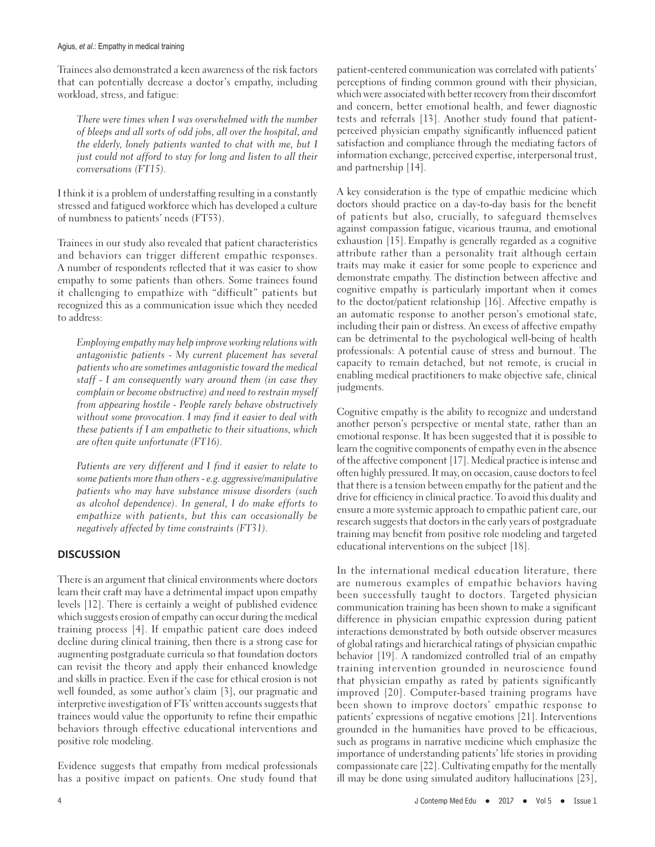#### Agius, *et al*.: Empathy in medical training

Trainees also demonstrated a keen awareness of the risk factors that can potentially decrease a doctor's empathy, including workload, stress, and fatigue:

There were times when I was overwhelmed with the number of bleeps and all sorts of odd jobs, all over the hospital, and the elderly, lonely patients wanted to chat with me, but I just could not afford to stay for long and listen to all their conversations (FT15).

I think it is a problem of understaffing resulting in a constantly stressed and fatigued workforce which has developed a culture of numbness to patients' needs (FT53).

Trainees in our study also revealed that patient characteristics and behaviors can trigger different empathic responses. A number of respondents reflected that it was easier to show empathy to some patients than others. Some trainees found it challenging to empathize with "difficult" patients but recognized this as a communication issue which they needed to address:

Employing empathy may help improve working relations with antagonistic patients - My current placement has several patients who are sometimes antagonistic toward the medical staff - I am consequently wary around them (in case they complain or become obstructive) and need to restrain myself from appearing hostile - People rarely behave obstructively without some provocation. I may find it easier to deal with these patients if I am empathetic to their situations, which are often quite unfortunate (FT16).

Patients are very different and I find it easier to relate to some patients more than others- e.g. aggressive/manipulative patients who may have substance misuse disorders (such as alcohol dependence). In general, I do make efforts to empathize with patients, but this can occasionally be negatively affected by time constraints (FT31).

#### **DISCUSSION**

There is an argument that clinical environments where doctors learn their craft may have a detrimental impact upon empathy levels [12]. There is certainly a weight of published evidence which suggests erosion of empathy can occur during the medical training process [4]. If empathic patient care does indeed decline during clinical training, then there is a strong case for augmenting postgraduate curricula so that foundation doctors can revisit the theory and apply their enhanced knowledge and skills in practice. Even if the case for ethical erosion is not well founded, as some author's claim [3], our pragmatic and interpretive investigation of FTs' written accounts suggests that trainees would value the opportunity to refine their empathic behaviors through effective educational interventions and positive role modeling.

Evidence suggests that empathy from medical professionals has a positive impact on patients. One study found that patient-centered communication was correlated with patients' perceptions of finding common ground with their physician, which were associated with better recovery from their discomfort and concern, better emotional health, and fewer diagnostic tests and referrals [13]. Another study found that patientperceived physician empathy significantly influenced patient satisfaction and compliance through the mediating factors of information exchange, perceived expertise, interpersonal trust, and partnership [14].

A key consideration is the type of empathic medicine which doctors should practice on a day-to-day basis for the benefit of patients but also, crucially, to safeguard themselves against compassion fatigue, vicarious trauma, and emotional exhaustion [15]. Empathy is generally regarded as a cognitive attribute rather than a personality trait although certain traits may make it easier for some people to experience and demonstrate empathy. The distinction between affective and cognitive empathy is particularly important when it comes to the doctor/patient relationship [16]. Affective empathy is an automatic response to another person's emotional state, including their pain or distress. An excess of affective empathy can be detrimental to the psychological well-being of health professionals: A potential cause of stress and burnout. The capacity to remain detached, but not remote, is crucial in enabling medical practitioners to make objective safe, clinical judgments.

Cognitive empathy is the ability to recognize and understand another person's perspective or mental state, rather than an emotional response. It has been suggested that it is possible to learn the cognitive components of empathy even in the absence of the affective component [17]. Medical practice is intense and often highly pressured. It may, on occasion, cause doctors to feel that there is a tension between empathy for the patient and the drive for efficiency in clinical practice. To avoid this duality and ensure a more systemic approach to empathic patient care, our research suggests that doctors in the early years of postgraduate training may benefit from positive role modeling and targeted educational interventions on the subject [18].

In the international medical education literature, there are numerous examples of empathic behaviors having been successfully taught to doctors. Targeted physician communication training has been shown to make a significant difference in physician empathic expression during patient interactions demonstrated by both outside observer measures of global ratings and hierarchical ratings of physician empathic behavior [19]. A randomized controlled trial of an empathy training intervention grounded in neuroscience found that physician empathy as rated by patients significantly improved [20]. Computer-based training programs have been shown to improve doctors' empathic response to patients' expressions of negative emotions [21]. Interventions grounded in the humanities have proved to be efficacious, such as programs in narrative medicine which emphasize the importance of understanding patients' life stories in providing compassionate care [22]. Cultivating empathy for the mentally ill may be done using simulated auditory hallucinations [23],